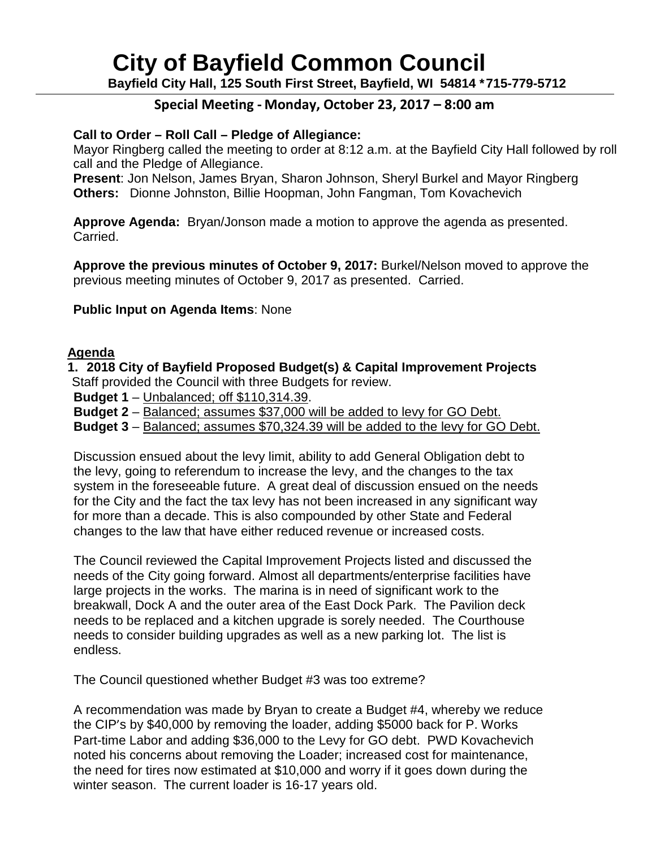# **City of Bayfield Common Council**

**Bayfield City Hall, 125 South First Street, Bayfield, WI 54814 \*715-779-5712**

# **Special Meeting - Monday, October 23, 2017 – 8:00 am**

### **Call to Order – Roll Call – Pledge of Allegiance:**

Mayor Ringberg called the meeting to order at 8:12 a.m. at the Bayfield City Hall followed by roll call and the Pledge of Allegiance.

**Present**: Jon Nelson, James Bryan, Sharon Johnson, Sheryl Burkel and Mayor Ringberg **Others:** Dionne Johnston, Billie Hoopman, John Fangman, Tom Kovachevich

**Approve Agenda:** Bryan/Jonson made a motion to approve the agenda as presented. Carried.

**Approve the previous minutes of October 9, 2017:** Burkel/Nelson moved to approve the previous meeting minutes of October 9, 2017 as presented. Carried.

#### **Public Input on Agenda Items**: None

#### **Agenda**

**1. 2018 City of Bayfield Proposed Budget(s) & Capital Improvement Projects**  Staff provided the Council with three Budgets for review.

**Budget 1** – Unbalanced; off \$110,314.39.

**Budget 2** – Balanced; assumes \$37,000 will be added to levy for GO Debt.

**Budget 3** – Balanced; assumes \$70,324.39 will be added to the levy for GO Debt.

Discussion ensued about the levy limit, ability to add General Obligation debt to the levy, going to referendum to increase the levy, and the changes to the tax system in the foreseeable future. A great deal of discussion ensued on the needs for the City and the fact the tax levy has not been increased in any significant way for more than a decade. This is also compounded by other State and Federal changes to the law that have either reduced revenue or increased costs.

The Council reviewed the Capital Improvement Projects listed and discussed the needs of the City going forward. Almost all departments/enterprise facilities have large projects in the works. The marina is in need of significant work to the breakwall, Dock A and the outer area of the East Dock Park. The Pavilion deck needs to be replaced and a kitchen upgrade is sorely needed. The Courthouse needs to consider building upgrades as well as a new parking lot. The list is endless.

The Council questioned whether Budget #3 was too extreme?

A recommendation was made by Bryan to create a Budget #4, whereby we reduce the CIP's by \$40,000 by removing the loader, adding \$5000 back for P. Works Part-time Labor and adding \$36,000 to the Levy for GO debt. PWD Kovachevich noted his concerns about removing the Loader; increased cost for maintenance, the need for tires now estimated at \$10,000 and worry if it goes down during the winter season. The current loader is 16-17 years old.